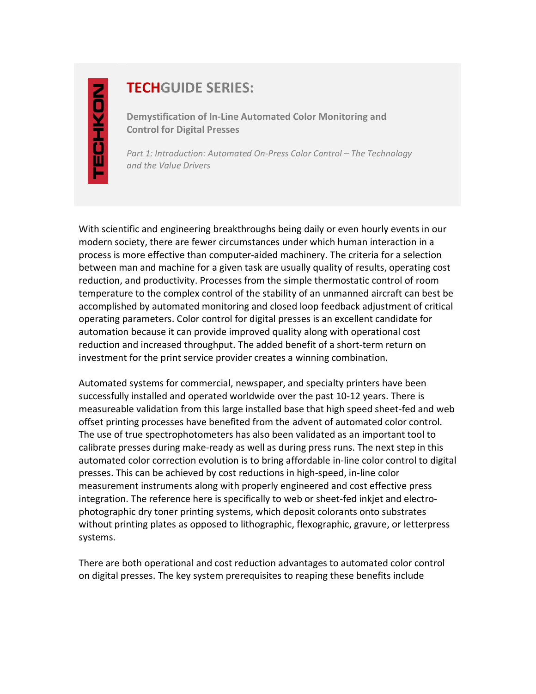## **TECHGUIDE SERIES:**

**Demystification of In-Line Automated Color Monitoring and Control for Digital Presses** 

*Part 1: Introduction: Automated On-Press Color Control – The Technology and the Value Drivers* 

With scientific and engineering breakthroughs being daily or even hourly events in our modern society, there are fewer circumstances under which human interaction in a process is more effective than computer-aided machinery. The criteria for a selection between man and machine for a given task are usually quality of results, operating cost reduction, and productivity. Processes from the simple thermostatic control of room temperature to the complex control of the stability of an unmanned aircraft can best be accomplished by automated monitoring and closed loop feedback adjustment of critical operating parameters. Color control for digital presses is an excellent candidate for automation because it can provide improved quality along with operational cost reduction and increased throughput. The added benefit of a short-term return on investment for the print service provider creates a winning combination.

Automated systems for commercial, newspaper, and specialty printers have been successfully installed and operated worldwide over the past 10-12 years. There is measureable validation from this large installed base that high speed sheet-fed and web offset printing processes have benefited from the advent of automated color control. The use of true spectrophotometers has also been validated as an important tool to calibrate presses during make-ready as well as during press runs. The next step in this automated color correction evolution is to bring affordable in-line color control to digital presses. This can be achieved by cost reductions in high-speed, in-line color measurement instruments along with properly engineered and cost effective press integration. The reference here is specifically to web or sheet-fed inkjet and electrophotographic dry toner printing systems, which deposit colorants onto substrates without printing plates as opposed to lithographic, flexographic, gravure, or letterpress systems.

There are both operational and cost reduction advantages to automated color control on digital presses. The key system prerequisites to reaping these benefits include